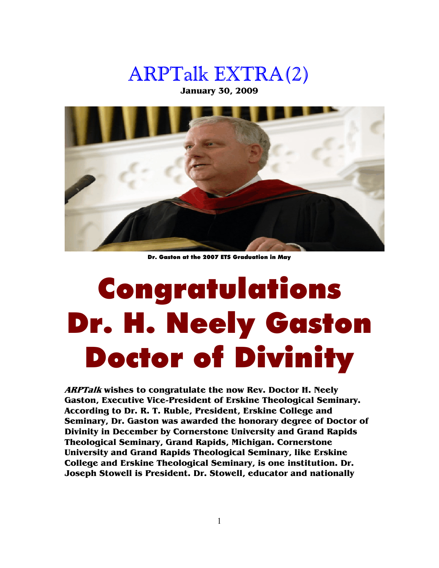## ARPTalk EXTRA(2)

**January 30, 2009** 



Dr. Gaston at the 2007 ETS Graduation in May

## Congratulations Dr. H. Neely Gaston Doctor of Divinity

**ARPTalk wishes to congratulate the now Rev. Doctor H. Neely Gaston, Executive Vice-President of Erskine Theological Seminary. According to Dr. R. T. Ruble, President, Erskine College and Seminary, Dr. Gaston was awarded the honorary degree of Doctor of Divinity in December by Cornerstone University and Grand Rapids Theological Seminary, Grand Rapids, Michigan. Cornerstone University and Grand Rapids Theological Seminary, like Erskine College and Erskine Theological Seminary, is one institution. Dr. Joseph Stowell is President. Dr. Stowell, educator and nationally**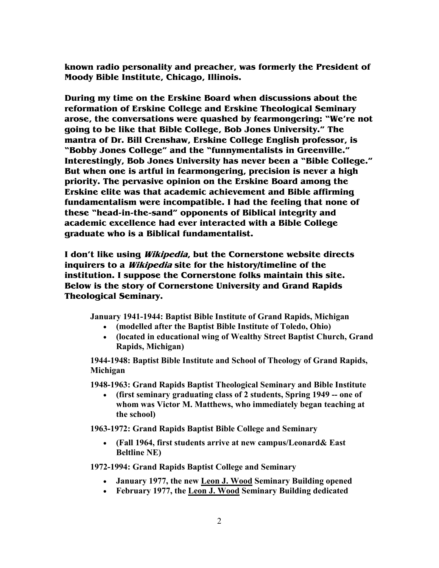**known radio personality and preacher, was formerly the President of Moody Bible Institute, Chicago, Illinois.** 

**During my time on the Erskine Board when discussions about the reformation of Erskine College and Erskine Theological Seminary arose, the conversations were quashed by fearmongering: "We're not going to be like that Bible College, Bob Jones University." The mantra of Dr. Bill Crenshaw, Erskine College English professor, is "Bobby Jones College" and the "funnymentalists in Greenville." Interestingly, Bob Jones University has never been a "Bible College." But when one is artful in fearmongering, precision is never a high priority. The pervasive opinion on the Erskine Board among the Erskine elite was that academic achievement and Bible affirming fundamentalism were incompatible. I had the feeling that none of these "head-in-the-sand" opponents of Biblical integrity and academic excellence had ever interacted with a Bible College graduate who is a Biblical fundamentalist.** 

**I don't like using Wikipedia, but the Cornerstone website directs inquirers to a Wikipedia site for the history/timeline of the institution. I suppose the Cornerstone folks maintain this site. Below is the story of Cornerstone University and Grand Rapids Theological Seminary.** 

**January 1941-1944: Baptist Bible Institute of Grand Rapids, Michigan** 

- **(modelled after the Baptist Bible Institute of Toledo, Ohio)**
- **(located in educational wing of Wealthy Street Baptist Church, Grand Rapids, Michigan)**

**1944-1948: Baptist Bible Institute and School of Theology of Grand Rapids, Michigan** 

**1948-1963: Grand Rapids Baptist Theological Seminary and Bible Institute** 

• **(first seminary graduating class of 2 students, Spring 1949 -- one of whom was Victor M. Matthews, who immediately began teaching at the school)** 

**1963-1972: Grand Rapids Baptist Bible College and Seminary** 

• **(Fall 1964, first students arrive at new campus/Leonard& East Beltline NE**)

**1972-1994: Grand Rapids Baptist College and Seminary** 

- **January 1977, the new Leon J. Wood Seminary Building opened**
- **February 1977, the Leon J. Wood Seminary Building dedicated**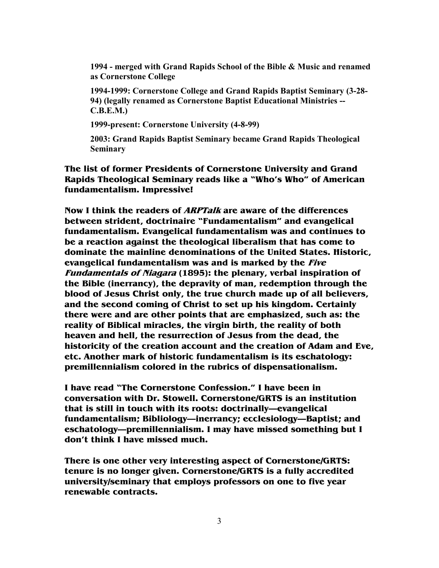**1994 - merged with Grand Rapids School of the Bible & Music and renamed as Cornerstone College** 

**1994-1999: Cornerstone College and Grand Rapids Baptist Seminary (3-28- 94) (legally renamed as Cornerstone Baptist Educational Ministries -- C.B.E.M.)** 

**1999-present: Cornerstone University (4-8-99)** 

**2003: Grand Rapids Baptist Seminary became Grand Rapids Theological Seminary** 

**The list of former Presidents of Cornerstone University and Grand Rapids Theological Seminary reads like a "Who's Who" of American fundamentalism. Impressive!** 

**Now I think the readers of ARPTalk are aware of the differences between strident, doctrinaire "Fundamentalism" and evangelical fundamentalism. Evangelical fundamentalism was and continues to be a reaction against the theological liberalism that has come to dominate the mainline denominations of the United States. Historic, evangelical fundamentalism was and is marked by the Five Fundamentals of Niagara (1895): the plenary, verbal inspiration of the Bible (inerrancy), the depravity of man, redemption through the blood of Jesus Christ only, the true church made up of all believers, and the second coming of Christ to set up his kingdom. Certainly there were and are other points that are emphasized, such as: the reality of Biblical miracles, the virgin birth, the reality of both heaven and hell, the resurrection of Jesus from the dead, the historicity of the creation account and the creation of Adam and Eve, etc. Another mark of historic fundamentalism is its eschatology: premillennialism colored in the rubrics of dispensationalism.** 

**I have read "The Cornerstone Confession." I have been in conversation with Dr. Stowell. Cornerstone/GRTS is an institution that is still in touch with its roots: doctrinally—evangelical fundamentalism; Bibliology—inerrancy; ecclesiology—Baptist; and eschatology—premillennialism. I may have missed something but I don't think I have missed much.** 

**There is one other very interesting aspect of Cornerstone/GRTS: tenure is no longer given. Cornerstone/GRTS is a fully accredited university/seminary that employs professors on one to five year renewable contracts.**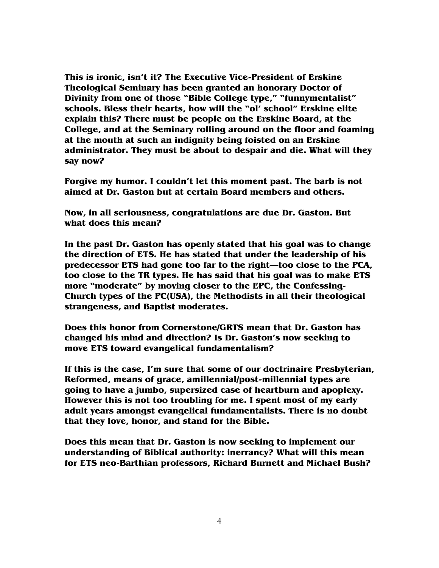**This is ironic, isn't it? The Executive Vice-President of Erskine Theological Seminary has been granted an honorary Doctor of Divinity from one of those "Bible College type," "funnymentalist" schools. Bless their hearts, how will the "ol' school" Erskine elite explain this? There must be people on the Erskine Board, at the College, and at the Seminary rolling around on the floor and foaming at the mouth at such an indignity being foisted on an Erskine administrator. They must be about to despair and die. What will they say now?** 

**Forgive my humor. I couldn't let this moment past. The barb is not aimed at Dr. Gaston but at certain Board members and others.** 

**Now, in all seriousness, congratulations are due Dr. Gaston. But what does this mean?** 

**In the past Dr. Gaston has openly stated that his goal was to change the direction of ETS. He has stated that under the leadership of his predecessor ETS had gone too far to the right—too close to the PCA, too close to the TR types. He has said that his goal was to make ETS more "moderate" by moving closer to the EPC, the Confessing-Church types of the PC(USA), the Methodists in all their theological strangeness, and Baptist moderates.** 

**Does this honor from Cornerstone/GRTS mean that Dr. Gaston has changed his mind and direction? Is Dr. Gaston's now seeking to move ETS toward evangelical fundamentalism?** 

**If this is the case, I'm sure that some of our doctrinaire Presbyterian, Reformed, means of grace, amillennial/post-millennial types are going to have a jumbo, supersized case of heartburn and apoplexy. However this is not too troubling for me. I spent most of my early adult years amongst evangelical fundamentalists. There is no doubt that they love, honor, and stand for the Bible.** 

**Does this mean that Dr. Gaston is now seeking to implement our understanding of Biblical authority: inerrancy? What will this mean for ETS neo-Barthian professors, Richard Burnett and Michael Bush?**